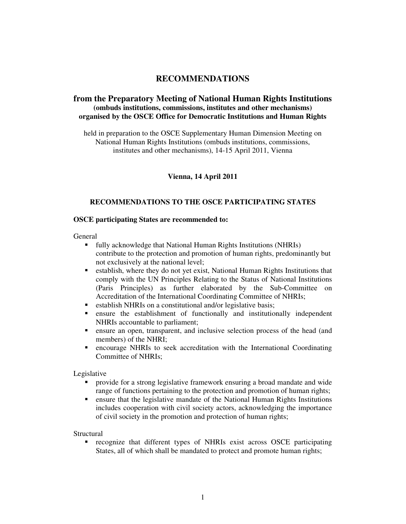# **RECOMMENDATIONS**

## **from the Preparatory Meeting of National Human Rights Institutions (ombuds institutions, commissions, institutes and other mechanisms) organised by the OSCE Office for Democratic Institutions and Human Rights**

held in preparation to the OSCE Supplementary Human Dimension Meeting on National Human Rights Institutions (ombuds institutions, commissions, institutes and other mechanisms), 14-15 April 2011, Vienna

### **Vienna, 14 April 2011**

## **RECOMMENDATIONS TO THE OSCE PARTICIPATING STATES**

#### **OSCE participating States are recommended to:**

General

- fully acknowledge that National Human Rights Institutions (NHRIs) contribute to the protection and promotion of human rights, predominantly but not exclusively at the national level;
- establish, where they do not yet exist, National Human Rights Institutions that comply with the UN Principles Relating to the Status of National Institutions (Paris Principles) as further elaborated by the Sub-Committee on Accreditation of the International Coordinating Committee of NHRIs;
- establish NHRIs on a constitutional and/or legislative basis;
- ensure the establishment of functionally and institutionally independent NHRIs accountable to parliament;
- ensure an open, transparent, and inclusive selection process of the head (and members) of the NHRI;
- encourage NHRIs to seek accreditation with the International Coordinating Committee of NHRIs;

Legislative

- provide for a strong legislative framework ensuring a broad mandate and wide range of functions pertaining to the protection and promotion of human rights;
- ensure that the legislative mandate of the National Human Rights Institutions includes cooperation with civil society actors, acknowledging the importance of civil society in the promotion and protection of human rights;

Structural

 recognize that different types of NHRIs exist across OSCE participating States, all of which shall be mandated to protect and promote human rights;